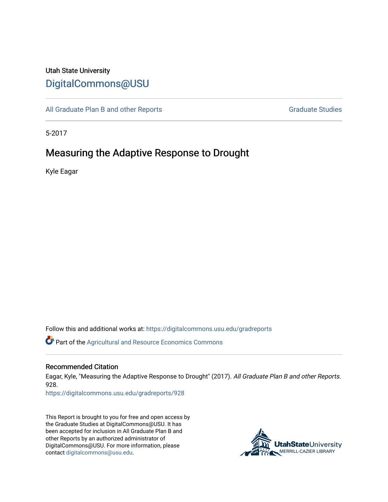# Utah State University [DigitalCommons@USU](https://digitalcommons.usu.edu/)

[All Graduate Plan B and other Reports](https://digitalcommons.usu.edu/gradreports) **Graduate Studies** Graduate Studies

5-2017

# Measuring the Adaptive Response to Drought

Kyle Eagar

Follow this and additional works at: [https://digitalcommons.usu.edu/gradreports](https://digitalcommons.usu.edu/gradreports?utm_source=digitalcommons.usu.edu%2Fgradreports%2F928&utm_medium=PDF&utm_campaign=PDFCoverPages)

**C** Part of the Agricultural and Resource Economics Commons

#### Recommended Citation

Eagar, Kyle, "Measuring the Adaptive Response to Drought" (2017). All Graduate Plan B and other Reports. 928.

[https://digitalcommons.usu.edu/gradreports/928](https://digitalcommons.usu.edu/gradreports/928?utm_source=digitalcommons.usu.edu%2Fgradreports%2F928&utm_medium=PDF&utm_campaign=PDFCoverPages)

This Report is brought to you for free and open access by the Graduate Studies at DigitalCommons@USU. It has been accepted for inclusion in All Graduate Plan B and other Reports by an authorized administrator of DigitalCommons@USU. For more information, please contact [digitalcommons@usu.edu](mailto:digitalcommons@usu.edu).

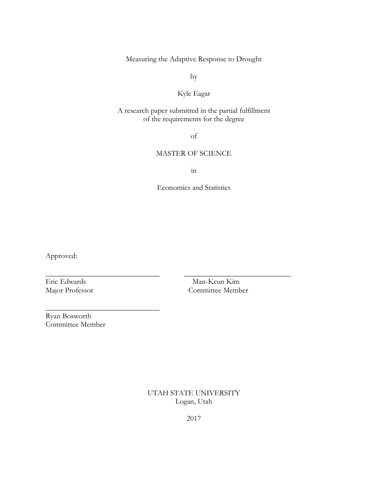Measuring the Adaptive Response to Drought

by

## Kyle Eagar

### A research paper submitted in the partial fulfillment of the requirements for the degree

of

### MASTER OF SCIENCE

in

Economics and Statistics

\_\_\_\_\_\_\_\_\_\_\_\_\_\_\_\_\_\_\_\_\_\_\_\_\_\_\_\_\_\_ \_\_\_\_\_\_\_\_\_\_\_\_\_\_\_\_\_\_\_\_\_\_\_\_\_\_\_\_

Approved:

Eric Edwards Man-Keun Kim Major Professor Committee Member

Ryan Bosworth Committee Member

 $\overline{\phantom{a}}$  , where  $\overline{\phantom{a}}$  , where  $\overline{\phantom{a}}$  , where  $\overline{\phantom{a}}$  ,  $\overline{\phantom{a}}$  ,  $\overline{\phantom{a}}$  ,  $\overline{\phantom{a}}$  ,  $\overline{\phantom{a}}$  ,  $\overline{\phantom{a}}$  ,  $\overline{\phantom{a}}$  ,  $\overline{\phantom{a}}$  ,  $\overline{\phantom{a}}$  ,  $\overline{\phantom{a}}$  ,  $\overline{\phantom{a}}$  ,  $\overline{\phantom$ 

UTAH STATE UNIVERSITY Logan, Utah

2017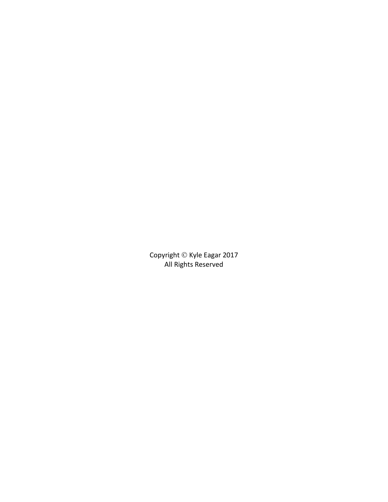Copyright © Kyle Eagar 2017 All Rights Reserved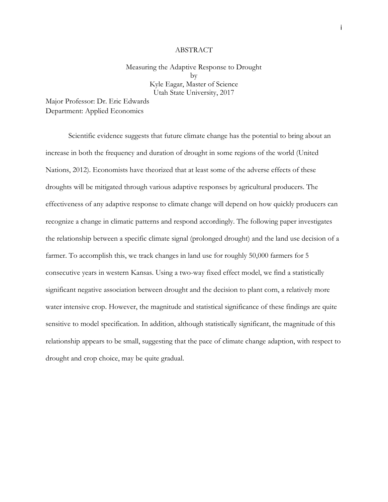#### ABSTRACT

### Measuring the Adaptive Response to Drought by Kyle Eagar, Master of Science Utah State University, 2017

Major Professor: Dr. Eric Edwards Department: Applied Economics

Scientific evidence suggests that future climate change has the potential to bring about an increase in both the frequency and duration of drought in some regions of the world (United Nations, 2012). Economists have theorized that at least some of the adverse effects of these droughts will be mitigated through various adaptive responses by agricultural producers. The effectiveness of any adaptive response to climate change will depend on how quickly producers can recognize a change in climatic patterns and respond accordingly. The following paper investigates the relationship between a specific climate signal (prolonged drought) and the land use decision of a farmer. To accomplish this, we track changes in land use for roughly 50,000 farmers for 5 consecutive years in western Kansas. Using a two-way fixed effect model, we find a statistically significant negative association between drought and the decision to plant corn, a relatively more water intensive crop. However, the magnitude and statistical significance of these findings are quite sensitive to model specification. In addition, although statistically significant, the magnitude of this relationship appears to be small, suggesting that the pace of climate change adaption, with respect to drought and crop choice, may be quite gradual.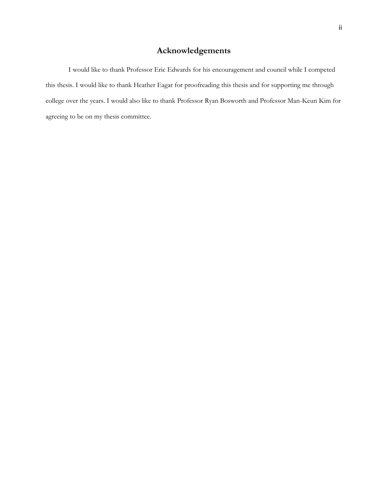## **Acknowledgements**

I would like to thank Professor Eric Edwards for his encouragement and council while I competed this thesis. I would like to thank Heather Eagar for proofreading this thesis and for supporting me through college over the years. I would also like to thank Professor Ryan Bosworth and Professor Man-Keun Kim for agreeing to be on my thesis committee.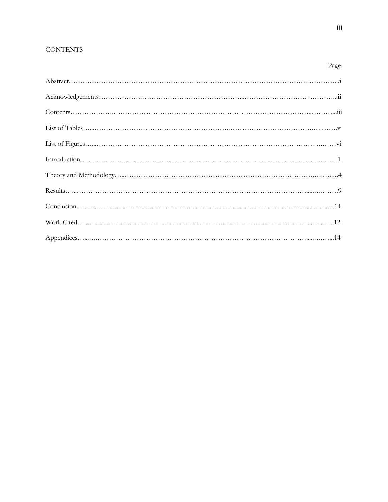## **CONTENTS**

Page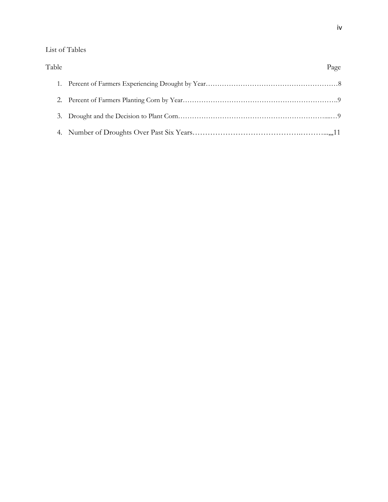## List of Tables

| Table | Page |
|-------|------|
|       |      |
|       |      |
|       |      |
|       |      |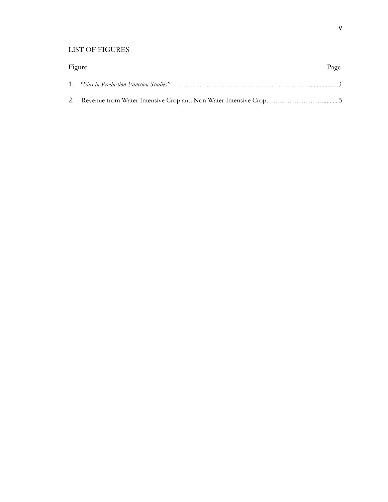### LIST OF FIGURES

| Figure | Page |
|--------|------|
|        |      |
|        |      |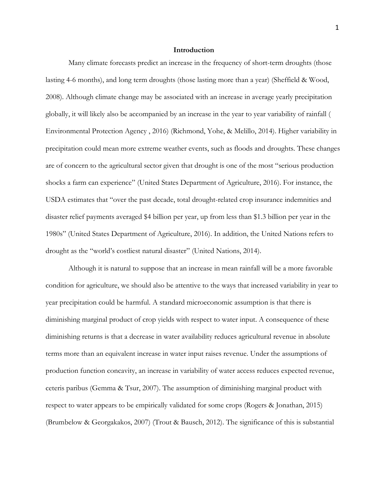#### **Introduction**

Many climate forecasts predict an increase in the frequency of short-term droughts (those lasting 4-6 months), and long term droughts (those lasting more than a year) (Sheffield & Wood, 2008). Although climate change may be associated with an increase in average yearly precipitation globally, it will likely also be accompanied by an increase in the year to year variability of rainfall ( Environmental Protection Agency , 2016) (Richmond, Yohe, & Melillo, 2014). Higher variability in precipitation could mean more extreme weather events, such as floods and droughts. These changes are of concern to the agricultural sector given that drought is one of the most "serious production shocks a farm can experience" (United States Department of Agriculture, 2016). For instance, the USDA estimates that "over the past decade, total drought-related crop insurance indemnities and disaster relief payments averaged \$4 billion per year, up from less than \$1.3 billion per year in the 1980s" (United States Department of Agriculture, 2016). In addition, the United Nations refers to drought as the "world's costliest natural disaster" (United Nations, 2014).

Although it is natural to suppose that an increase in mean rainfall will be a more favorable condition for agriculture, we should also be attentive to the ways that increased variability in year to year precipitation could be harmful. A standard microeconomic assumption is that there is diminishing marginal product of crop yields with respect to water input. A consequence of these diminishing returns is that a decrease in water availability reduces agricultural revenue in absolute terms more than an equivalent increase in water input raises revenue. Under the assumptions of production function concavity, an increase in variability of water access reduces expected revenue, ceteris paribus (Gemma & Tsur, 2007). The assumption of diminishing marginal product with respect to water appears to be empirically validated for some crops (Rogers & Jonathan, 2015) (Brumbelow & Georgakakos, 2007) (Trout & Bausch, 2012). The significance of this is substantial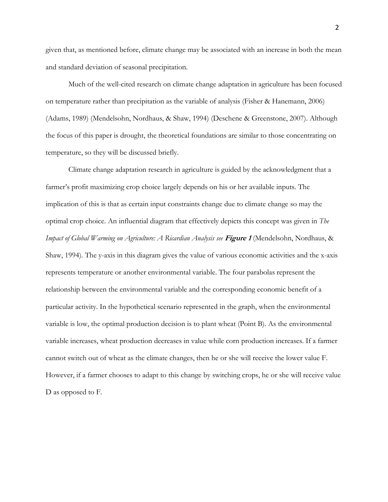given that, as mentioned before, climate change may be associated with an increase in both the mean and standard deviation of seasonal precipitation.

Much of the well-cited research on climate change adaptation in agriculture has been focused on temperature rather than precipitation as the variable of analysis (Fisher & Hanemann, 2006) (Adams, 1989) (Mendelsohn, Nordhaus, & Shaw, 1994) (Deschene & Greenstone, 2007). Although the focus of this paper is drought, the theoretical foundations are similar to those concentrating on temperature, so they will be discussed briefly.

Climate change adaptation research in agriculture is guided by the acknowledgment that a farmer's profit maximizing crop choice largely depends on his or her available inputs. The implication of this is that as certain input constraints change due to climate change so may the optimal crop choice. An influential diagram that effectively depicts this concept was given in *The Impact of Global Warming on Agriculture: A Ricardian Analysis see* **Figure 1** (Mendelsohn, Nordhaus, & Shaw, 1994)*.* The y-axis in this diagram gives the value of various economic activities and the x-axis represents temperature or another environmental variable. The four parabolas represent the relationship between the environmental variable and the corresponding economic benefit of a particular activity. In the hypothetical scenario represented in the graph, when the environmental variable is low, the optimal production decision is to plant wheat (Point B). As the environmental variable increases, wheat production decreases in value while corn production increases. If a farmer cannot switch out of wheat as the climate changes, then he or she will receive the lower value F. However, if a farmer chooses to adapt to this change by switching crops, he or she will receive value D as opposed to F.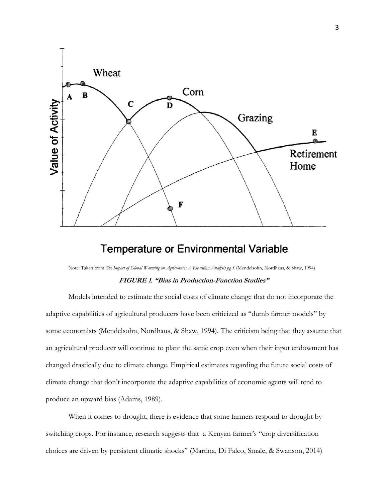

# **Temperature or Environmental Variable**

Note: Taken from *The Impact of Global Warming on Agriculture: A Ricardian Analysis pg 3* (Mendelsohn, Nordhaus, & Shaw, 1994)

#### **FIGURE 1. "Bias in Production-Function Studies"**

Models intended to estimate the social costs of climate change that do not incorporate the adaptive capabilities of agricultural producers have been criticized as "dumb farmer models" by some economists (Mendelsohn, Nordhaus, & Shaw, 1994). The criticism being that they assume that an agricultural producer will continue to plant the same crop even when their input endowment has changed drastically due to climate change. Empirical estimates regarding the future social costs of climate change that don't incorporate the adaptive capabilities of economic agents will tend to produce an upward bias (Adams, 1989).

When it comes to drought, there is evidence that some farmers respond to drought by switching crops. For instance, research suggests that a Kenyan farmer's "crop diversification choices are driven by persistent climatic shocks" (Martina, Di Falco, Smale, & Swanson, 2014)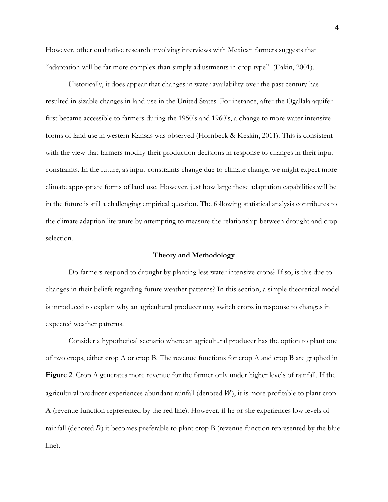However, other qualitative research involving interviews with Mexican farmers suggests that "adaptation will be far more complex than simply adjustments in crop type" (Eakin, 2001).

Historically, it does appear that changes in water availability over the past century has resulted in sizable changes in land use in the United States. For instance, after the Ogallala aquifer first became accessible to farmers during the 1950's and 1960's, a change to more water intensive forms of land use in western Kansas was observed (Hornbeck & Keskin, 2011). This is consistent with the view that farmers modify their production decisions in response to changes in their input constraints. In the future, as input constraints change due to climate change, we might expect more climate appropriate forms of land use. However, just how large these adaptation capabilities will be in the future is still a challenging empirical question. The following statistical analysis contributes to the climate adaption literature by attempting to measure the relationship between drought and crop selection.

#### **Theory and Methodology**

Do farmers respond to drought by planting less water intensive crops? If so, is this due to changes in their beliefs regarding future weather patterns? In this section, a simple theoretical model is introduced to explain why an agricultural producer may switch crops in response to changes in expected weather patterns.

Consider a hypothetical scenario where an agricultural producer has the option to plant one of two crops, either crop A or crop B. The revenue functions for crop A and crop B are graphed in **Figure 2**. Crop A generates more revenue for the farmer only under higher levels of rainfall. If the agricultural producer experiences abundant rainfall (denoted  $W$ ), it is more profitable to plant crop A (revenue function represented by the red line). However, if he or she experiences low levels of rainfall (denoted  $D$ ) it becomes preferable to plant crop B (revenue function represented by the blue line).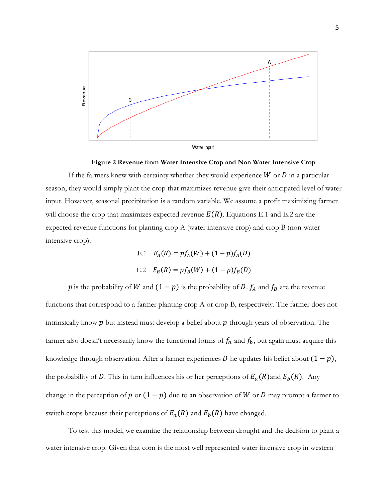

**Figure 2 Revenue from Water Intensive Crop and Non Water Intensive Crop**

If the farmers knew with certainty whether they would experience  $W$  or  $D$  in a particular season, they would simply plant the crop that maximizes revenue give their anticipated level of water input. However, seasonal precipitation is a random variable. We assume a profit maximizing farmer will choose the crop that maximizes expected revenue  $E(R)$ . Equations E.1 and E.2 are the expected revenue functions for planting crop A (water intensive crop) and crop B (non-water intensive crop).

E.1 
$$
E_A(R) = pf_A(W) + (1 - p)f_A(D)
$$
  
E.2  $E_B(R) = pf_B(W) + (1 - p)f_B(D)$ 

p is the probability of W and  $(1 - p)$  is the probability of D.  $f_A$  and  $f_B$  are the revenue functions that correspond to a farmer planting crop A or crop B, respectively. The farmer does not intrinsically know  $p$  but instead must develop a belief about  $p$  through years of observation. The farmer also doesn't necessarily know the functional forms of  $f_a$  and  $f_b$ , but again must acquire this knowledge through observation. After a farmer experiences  $D$  he updates his belief about  $(1 - p)$ , the probability of D. This in turn influences his or her perceptions of  $E_a(R)$  and  $E_b(R)$ . Any change in the perception of  $p$  or  $(1 - p)$  due to an observation of W or D may prompt a farmer to switch crops because their perceptions of  $E_a(R)$  and  $E_b(R)$  have changed.

To test this model, we examine the relationship between drought and the decision to plant a water intensive crop. Given that corn is the most well represented water intensive crop in western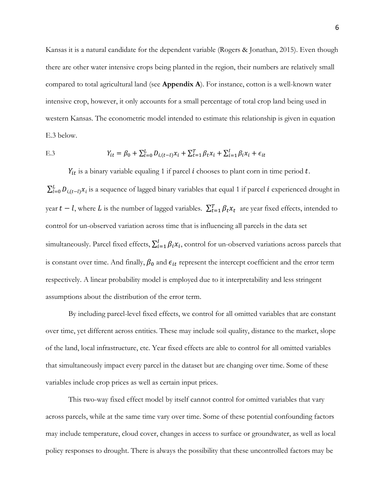Kansas it is a natural candidate for the dependent variable (Rogers & Jonathan, 2015). Even though there are other water intensive crops being planted in the region, their numbers are relatively small compared to total agricultural land (see **Appendix A**). For instance, cotton is a well-known water intensive crop, however, it only accounts for a small percentage of total crop land being used in western Kansas. The econometric model intended to estimate this relationship is given in equation E.3 below.

E.3 
$$
Y_{it} = \beta_0 + \sum_{l=0}^{L} D_{i,(t-l)} x_i + \sum_{t=1}^{T} \beta_t x_i + \sum_{i=1}^{I} \beta_i x_i + \epsilon_{it}
$$

 $Y_{it}$  is a binary variable equaling 1 if parcel  $i$  chooses to plant corn in time period  $t$ .  $\sum_{l=0}^L D_{i,(t-l)} x_i$  is a sequence of lagged binary variables that equal 1 if parcel i experienced drought in year  $t-l$ , where  $L$  is the number of lagged variables.  $\sum_{t=1}^{T} \beta_t x_t$  are year fixed effects, intended to control for un-observed variation across time that is influencing all parcels in the data set simultaneously. Parcel fixed effects,  $\sum_{i=1}^{I} \beta_i x_i$ , control for un-observed variations across parcels that is constant over time. And finally,  $\beta_0$  and  $\epsilon_{it}$  represent the intercept coefficient and the error term respectively. A linear probability model is employed due to it interpretability and less stringent assumptions about the distribution of the error term.

By including parcel-level fixed effects, we control for all omitted variables that are constant over time, yet different across entities. These may include soil quality, distance to the market, slope of the land, local infrastructure, etc. Year fixed effects are able to control for all omitted variables that simultaneously impact every parcel in the dataset but are changing over time. Some of these variables include crop prices as well as certain input prices.

This two-way fixed effect model by itself cannot control for omitted variables that vary across parcels, while at the same time vary over time. Some of these potential confounding factors may include temperature, cloud cover, changes in access to surface or groundwater, as well as local policy responses to drought. There is always the possibility that these uncontrolled factors may be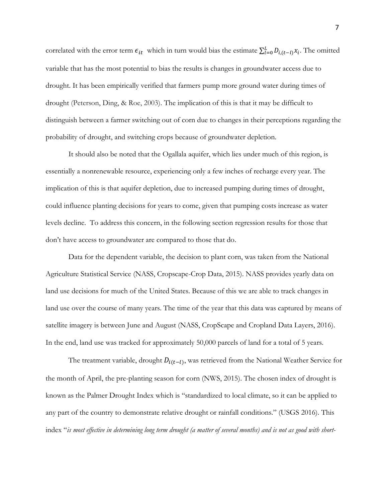correlated with the error term  $\epsilon_{it}$  which in turn would bias the estimate  $\sum_{l=0}^{L} D_{i,(t-l)} x_i$ . The omitted variable that has the most potential to bias the results is changes in groundwater access due to drought. It has been empirically verified that farmers pump more ground water during times of drought (Peterson, Ding, & Roe, 2003). The implication of this is that it may be difficult to distinguish between a farmer switching out of corn due to changes in their perceptions regarding the probability of drought, and switching crops because of groundwater depletion.

It should also be noted that the Ogallala aquifer, which lies under much of this region, is essentially a nonrenewable resource, experiencing only a few inches of recharge every year. The implication of this is that aquifer depletion, due to increased pumping during times of drought, could influence planting decisions for years to come, given that pumping costs increase as water levels decline. To address this concern, in the following section regression results for those that don't have access to groundwater are compared to those that do.

Data for the dependent variable, the decision to plant corn, was taken from the National Agriculture Statistical Service (NASS, Cropscape-Crop Data, 2015). NASS provides yearly data on land use decisions for much of the United States. Because of this we are able to track changes in land use over the course of many years. The time of the year that this data was captured by means of satellite imagery is between June and August (NASS, CropScape and Cropland Data Layers, 2016). In the end, land use was tracked for approximately 50,000 parcels of land for a total of 5 years.

The treatment variable, drought  $D_{i(t-l)}$ , was retrieved from the National Weather Service for the month of April, the pre-planting season for corn (NWS, 2015). The chosen index of drought is known as the Palmer Drought Index which is "standardized to local climate, so it can be applied to any part of the country to demonstrate relative drought or rainfall conditions." (USGS 2016). This index "*is most effective in determining long term drought (a matter of several months) and is not as good with short-*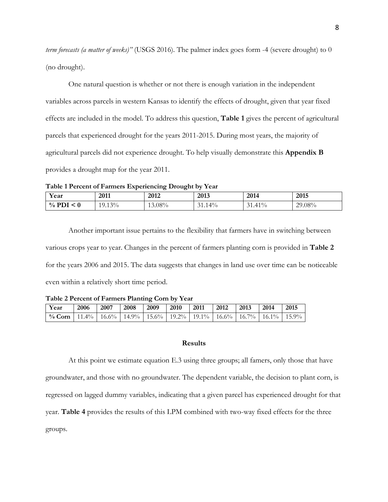*term forecasts (a matter of weeks)"* (USGS 2016)*.* The palmer index goes form -4 (severe drought) to 0 (no drought).

One natural question is whether or not there is enough variation in the independent variables across parcels in western Kansas to identify the effects of drought, given that year fixed effects are included in the model. To address this question, **Table 1** gives the percent of agricultural parcels that experienced drought for the years 2011-2015. During most years, the majority of agricultural parcels did not experience drought. To help visually demonstrate this **Appendix B** provides a drought map for the year 2011.

**Table 1 Percent of Farmers Experiencing Drought by Year**

| Year                               | 2011<br>_____    | 2012      | 2012<br>20 I.J                | 2014          | 2015   |
|------------------------------------|------------------|-----------|-------------------------------|---------------|--------|
| $\frac{0}{0}$<br>$\sqrt{ }$<br>- U | $13\%$<br>19.13% | $13.08\%$ | $\Delta^{0/2}$<br>$\sim$<br>. | $1\%$<br>1.4T | 29.08% |

Another important issue pertains to the flexibility that farmers have in switching between various crops year to year. Changes in the percent of farmers planting corn is provided in **Table 2** for the years 2006 and 2015. The data suggests that changes in land use over time can be noticeable even within a relatively short time period.

**Table 2 Percent of Farmers Planting Corn by Year**

| Year                                                                                   | 2006 | 2007 | $\sqrt{2008}$ | $\begin{array}{c} \boxed{2009} \end{array}$ | 2010 | $\mid$ 2011 | 2012 | 12013 | 2014 | $\mid$ 2015 |
|----------------------------------------------------------------------------------------|------|------|---------------|---------------------------------------------|------|-------------|------|-------|------|-------------|
| % Corn   11.4%   16.6%   14.9%   15.6%   19.2%   19.1%   16.6%   16.7%   16.1%   15.9% |      |      |               |                                             |      |             |      |       |      |             |

#### **Results**

At this point we estimate equation E.3 using three groups; all famers, only those that have groundwater, and those with no groundwater. The dependent variable, the decision to plant corn, is regressed on lagged dummy variables, indicating that a given parcel has experienced drought for that year. **Table 4** provides the results of this LPM combined with two-way fixed effects for the three groups.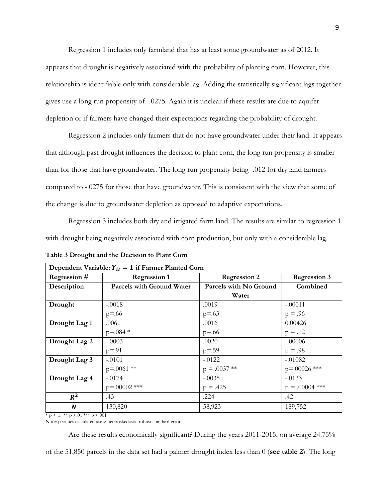Regression 1 includes only farmland that has at least some groundwater as of 2012. It appears that drought is negatively associated with the probability of planting corn. However, this relationship is identifiable only with considerable lag. Adding the statistically significant lags together gives use a long run propensity of -.0275. Again it is unclear if these results are due to aquifer depletion or if farmers have changed their expectations regarding the probability of drought.

Regression 2 includes only farmers that do not have groundwater under their land. It appears that although past drought influences the decision to plant corn, the long run propensity is smaller than for those that have groundwater. The long run propensity being -.012 for dry land farmers compared to -.0275 for those that have groundwater. This is consistent with the view that some of the change is due to groundwater depletion as opposed to adaptive expectations.

Regression 3 includes both dry and irrigated farm land. The results are similar to regression 1 with drought being negatively associated with corn production, but only with a considerable lag.

| Dependent Variable: $Y_{it} = 1$ if Farmer Planted Corn |                                  |                        |                     |  |  |
|---------------------------------------------------------|----------------------------------|------------------------|---------------------|--|--|
| Regression #                                            | <b>Regression 1</b>              | <b>Regression 2</b>    | <b>Regression 3</b> |  |  |
| Description                                             | <b>Parcels with Ground Water</b> | Parcels with No Ground | Combined            |  |  |
|                                                         |                                  | Water                  |                     |  |  |
| Drought                                                 | $-.0018$                         | .0019                  | $-.00011$           |  |  |
|                                                         | $p = .66$                        | $p = .63$              | $p = .96$           |  |  |
| Drought Lag 1                                           | .0061                            | .0016                  | 0.00426             |  |  |
|                                                         | $p = 0.084$ *                    | $p = .66$              | $p = .12$           |  |  |
| Drought Lag 2                                           | $-.0003$                         | .0020                  | $-.00006$           |  |  |
|                                                         | $p = .91$                        | $p = .59$              | $p = .98$           |  |  |
| Drought Lag 3                                           | $-.0101$                         | $-.0122$               | $-.01082$           |  |  |
|                                                         | $p=.0061$ **                     | $p = .0037$ **         | p=.00026 ***        |  |  |
| Drought Lag 4                                           | $-.0174$                         | $-.0035$               | $-.0133$            |  |  |
|                                                         | $p = .00002$ ***                 | $p = .425$             | $p = .00004$ ***    |  |  |
| $\overline{R}^2$                                        | .43                              | .224                   | .42                 |  |  |
| $\boldsymbol{N}$                                        | 130,820                          | 58,923                 | 189,752             |  |  |

**Table 3 Drought and the Decision to Plant Corn** 

 $* p < 0.1 * p < 0.01 * * p < 0.01$ 

Note: p values calculated using heteroskedastic robust standard error

Are these results economically significant? During the years 2011-2015, on average 24.75%

of the 51,850 parcels in the data set had a palmer drought index less than 0 (**see table 2**). The long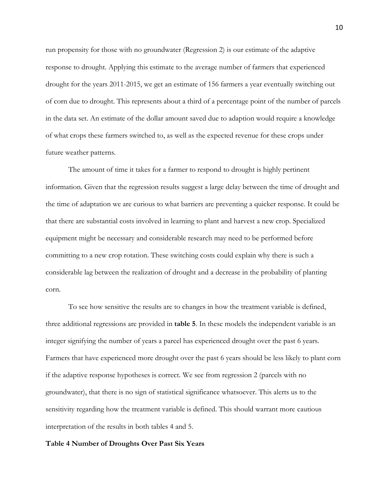run propensity for those with no groundwater (Regression 2) is our estimate of the adaptive response to drought. Applying this estimate to the average number of farmers that experienced drought for the years 2011-2015, we get an estimate of 156 farmers a year eventually switching out of corn due to drought. This represents about a third of a percentage point of the number of parcels in the data set. An estimate of the dollar amount saved due to adaption would require a knowledge of what crops these farmers switched to, as well as the expected revenue for these crops under future weather patterns.

The amount of time it takes for a farmer to respond to drought is highly pertinent information. Given that the regression results suggest a large delay between the time of drought and the time of adaptation we are curious to what barriers are preventing a quicker response. It could be that there are substantial costs involved in learning to plant and harvest a new crop. Specialized equipment might be necessary and considerable research may need to be performed before committing to a new crop rotation. These switching costs could explain why there is such a considerable lag between the realization of drought and a decrease in the probability of planting corn.

To see how sensitive the results are to changes in how the treatment variable is defined, three additional regressions are provided in **table 5**. In these models the independent variable is an integer signifying the number of years a parcel has experienced drought over the past 6 years. Farmers that have experienced more drought over the past 6 years should be less likely to plant corn if the adaptive response hypotheses is correct. We see from regression 2 (parcels with no groundwater), that there is no sign of statistical significance whatsoever. This alerts us to the sensitivity regarding how the treatment variable is defined. This should warrant more cautious interpretation of the results in both tables 4 and 5.

#### **Table 4 Number of Droughts Over Past Six Years**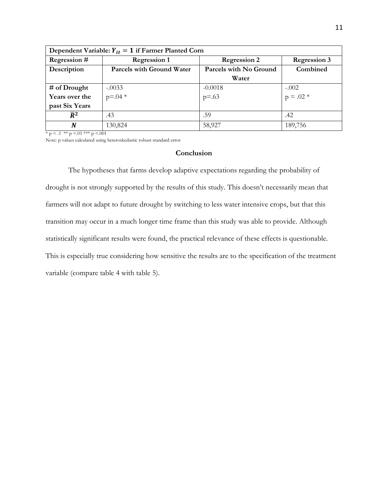| Dependent Variable: $Y_{it} = 1$ if Farmer Planted Corn |                                  |                        |                       |  |  |
|---------------------------------------------------------|----------------------------------|------------------------|-----------------------|--|--|
| Regression #                                            | <b>Regression 1</b>              | <b>Regression 2</b>    | <b>Regression 3</b>   |  |  |
| Description                                             | <b>Parcels with Ground Water</b> | Parcels with No Ground | Combined              |  |  |
|                                                         |                                  | Water                  |                       |  |  |
| $#$ of Drought                                          | $-0.0033$<br>p=.04 $*$           | $-0.0018$<br>p=.63     |                       |  |  |
| Years over the                                          |                                  |                        | $-0.002$<br>p = .02 * |  |  |
| past Six Years                                          |                                  |                        |                       |  |  |
| $\overline{R}^2$                                        | .43                              | .59                    | .42                   |  |  |
| N                                                       | 130,824                          | 58,927                 | 189,756               |  |  |

 $* p < 0.1 ** p < 0.01*** p < 0.001$ 

Note: p values calculated using heteroskedastic robust standard error

### **Conclusion**

The hypotheses that farms develop adaptive expectations regarding the probability of drought is not strongly supported by the results of this study. This doesn't necessarily mean that farmers will not adapt to future drought by switching to less water intensive crops, but that this transition may occur in a much longer time frame than this study was able to provide. Although statistically significant results were found, the practical relevance of these effects is questionable. This is especially true considering how sensitive the results are to the specification of the treatment variable (compare table 4 with table 5).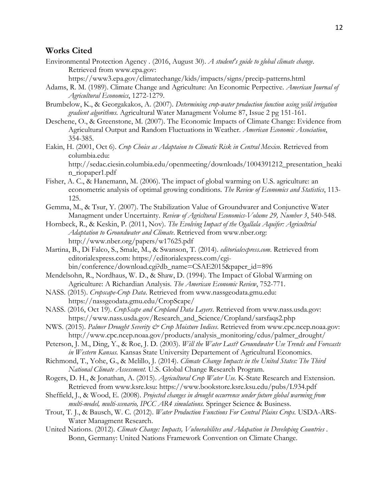### **Works Cited**

Environmental Protection Agency . (2016, August 30). *A student's guide to global climate change*. Retrieved from www.epa.gov:

https://www3.epa.gov/climatechange/kids/impacts/signs/precip-patterns.html

- Adams, R. M. (1989). Climate Change and Agriculture: An Economic Perpective. *American Journal of Agricultural Economics*, 1272-1279.
- Brumbelow, K., & Georgakakos, A. (2007). *Determining crop-water production function using yeild irrigation gradient algorithms.* Agricultural Water Managment Volume 87, Issue 2 pg 151-161.
- Deschene, O., & Greenstone, M. (2007). The Economic Impacts of Climate Change: Evidence from Agricultural Output and Random Fluctuations in Weather. *American Economic Association*, 354-385.
- Eakin, H. (2001, Oct 6). *Crop Choice as Adaptaion to Climatic Risk in Central Mexico*. Retrieved from columbia.edu: http://sedac.ciesin.columbia.edu/openmeeting/downloads/1004391212\_presentation\_heaki n\_riopaper1.pdf
- Fisher, A. C., & Hanemann, M. (2006). The impact of global warming on U.S. agriculture: an econometric analysis of optimal growing conditions. *The Review of Economics and Statistics*, 113- 125.
- Gemma, M., & Tsur, Y. (2007). The Stabilization Value of Groundwarer and Conjunctive Water Managment under Uncertainty. *Review of Agricltural Economics-Volume 29, Number 3*, 540-548.
- Hornbeck, R., & Keskin, P. (2011, Nov). *The Evolving Impact of the Ogallala Aquifer: Agricultrial Adaptation to Groundwater and Climate*. Retrieved from www.nber.org: http://www.nber.org/papers/w17625.pdf
- Martina, B., Di Falco, S., Smale, M., & Swanson, T. (2014). *editorialexpress.com*. Retrieved from editorialexpress.com: https://editorialexpress.com/cgibin/conference/download.cgi?db\_name=CSAE2015&paper\_id=896
- Mendelsohn, R., Nordhaus, W. D., & Shaw, D. (1994). The Impact of Global Warming on Agriculture: A Richardian Analysis. *The American Economic Review*, 752-771.
- NASS. (2015). *Cropscape-Crop Data*. Retrieved from www.nassgeodata.gmu.edu: https://nassgeodata.gmu.edu/CropScape/
- NASS. (2016, Oct 19). *CropScape and Cropland Data Layers*. Retrieved from www.nass.usda.gov: https://www.nass.usda.gov/Research\_and\_Science/Cropland/sarsfaqs2.php
- NWS. (2015). *Palmer Drought Severity & Crop Moisture Indices*. Retrieved from www.cpc.ncep.noaa.gov: http://www.cpc.ncep.noaa.gov/products/analysis\_monitoring/cdus/palmer\_drought/
- Peterson, J. M., Ding, Y., & Roe, J. D. (2003). *Will the Water Last? Groundwater Use Trends and Forecasts in Western Kansas.* Kansas State University Departement of Agricultural Economics.
- Richmond, T., Yohe, G., & Melillo, J. (2014). *Climate Change Impacts in the United States: The Third National Climate Assessment.* U.S. Global Change Research Program.
- Rogers, D. H., & Jonathan, A. (2015). *Agricultural Crop Water Use.* K-State Research and Extension. Retrieved from www.ksre.ksu: https://www.bookstore.ksre.ksu.edu/pubs/L934.pdf
- Sheffield, J., & Wood, E. (2008). *Projected changes in drought occurrence under future global warming from multi-model, multi-scenario, IPCC AR4 simulations.* Springer Science & Business.
- Trout, T. J., & Bausch, W. C. (2012). *Water Production Functions For Central Plains Crops.* USDA-ARS-Water Managment Research.
- United Nations. (2012). *Climate Change: Impacts, Vulnerabilites and Adapation in Developing Countries .* Bonn, Germany: United Nations Framework Convention on Climate Change.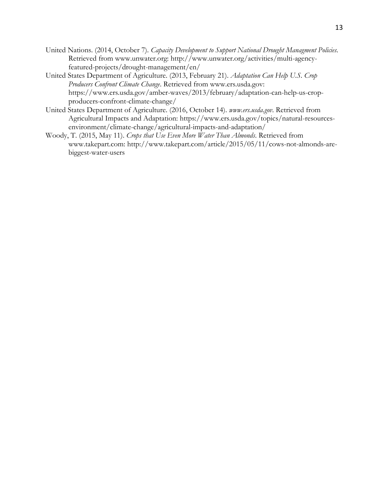- United Nations. (2014, October 7). *Capacity Development to Support National Drought Managment Policies*. Retrieved from www.unwater.org: http://www.unwater.org/activities/multi-agencyfeatured-projects/drought-management/en/
- United States Department of Agriculture. (2013, February 21). *Adaptation Can Help U.S. Crop Producers Confront Climate Change*. Retrieved from www.ers.usda.gov: https://www.ers.usda.gov/amber-waves/2013/february/adaptation-can-help-us-cropproducers-confront-climate-change/
- United States Department of Agriculture. (2016, October 14). *www.ers.usda.gov*. Retrieved from Agricultural Impacts and Adaptation: https://www.ers.usda.gov/topics/natural-resourcesenvironment/climate-change/agricultural-impacts-and-adaptation/
- Woody, T. (2015, May 11). *Crops that Use Even More Water Than Almonds*. Retrieved from www.takepart.com: http://www.takepart.com/article/2015/05/11/cows-not-almonds-arebiggest-water-users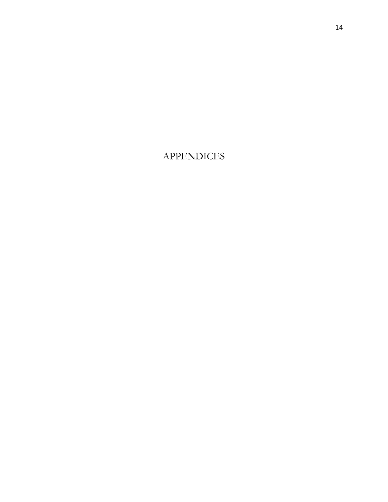# APPENDICES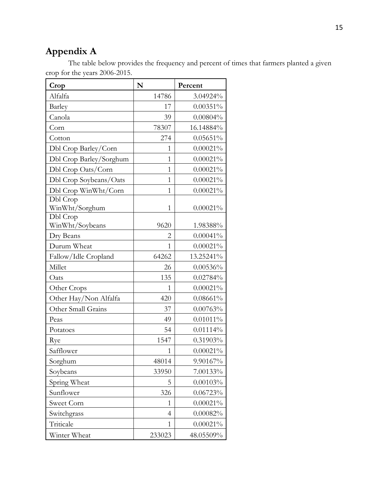# **Appendix A**

The table below provides the frequency and percent of times that farmers planted a given crop for the years 2006-2015.

| Crop                        | N            | Percent     |
|-----------------------------|--------------|-------------|
| Alfalfa                     | 14786        | 3.04924%    |
| Barley                      | 17           | $0.00351\%$ |
| Canola                      | 39           | $0.00804\%$ |
| Corn                        | 78307        | 16.14884%   |
| Cotton                      | 274          | $0.05651\%$ |
| Dbl Crop Barley/Corn        | 1            | $0.00021\%$ |
| Dbl Crop Barley/Sorghum     | 1            | $0.00021\%$ |
| Dbl Crop Oats/Corn          | 1            | $0.00021\%$ |
| Dbl Crop Soybeans/Oats      | $\mathbf{1}$ | $0.00021\%$ |
| Dbl Crop WinWht/Corn        | 1            | $0.00021\%$ |
| Dbl Crop                    |              |             |
| WinWht/Sorghum              | $\mathbf{1}$ | $0.00021\%$ |
| Dbl Crop<br>WinWht/Soybeans | 9620         | 1.98388%    |
| Dry Beans                   | 2            | $0.00041\%$ |
| Durum Wheat                 | 1            | $0.00021\%$ |
| Fallow/Idle Cropland        | 64262        | 13.25241%   |
| Millet                      | 26           | $0.00536\%$ |
| Oats                        | 135          | 0.02784%    |
| Other Crops                 | 1            | $0.00021\%$ |
| Other Hay/Non Alfalfa       | 420          | $0.08661\%$ |
| Other Small Grains          | 37           | 0.00763%    |
| Peas                        | 49           | $0.01011\%$ |
| Potatoes                    | 54           | 0.01114%    |
| Rye                         | 1547         | 0.31903%    |
| Safflower                   | 1            | $0.00021\%$ |
| Sorghum                     | 48014        | 9.90167%    |
| Soybeans                    | 33950        | 7.00133%    |
| Spring Wheat                | 5            | 0.00103%    |
| Sunflower                   | 326          | 0.06723%    |
| Sweet Corn                  | $\mathbf{1}$ | $0.00021\%$ |
| Switchgrass                 | 4            | 0.00082%    |
| Triticale                   | $\mathbf{1}$ | $0.00021\%$ |
| Winter Wheat                | 233023       | 48.05509%   |